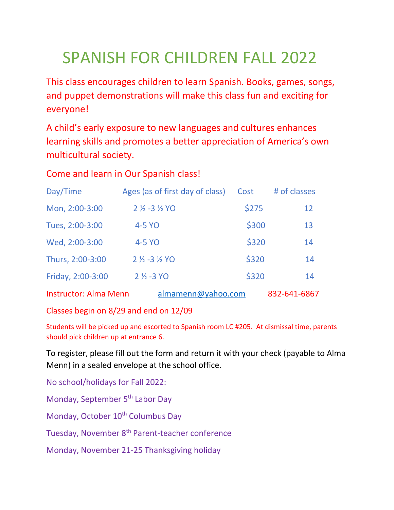## SPANISH FOR CHILDREN FALL 2022

This class encourages children to learn Spanish. Books, games, songs, and puppet demonstrations will make this class fun and exciting for everyone!

A child's early exposure to new languages and cultures enhances learning skills and promotes a better appreciation of America's own multicultural society.

## Come and learn in Our Spanish class!

| Day/Time                     | Ages (as of first day of class)    | Cost  | # of classes |
|------------------------------|------------------------------------|-------|--------------|
| Mon, 2:00-3:00               | $2\frac{1}{2} - 3\frac{1}{2}$ YO   | \$275 | 12           |
| Tues, 2:00-3:00              | 4-5 YO                             | \$300 | 13           |
| Wed, 2:00-3:00               | 4-5 YO                             | \$320 | 14           |
| Thurs, 2:00-3:00             | $2\frac{1}{2}$ -3 $\frac{1}{2}$ YO | \$320 | 14           |
| Friday, 2:00-3:00            | $2\frac{1}{2}$ -3 YO               | \$320 | 14           |
| <b>Instructor: Alma Menn</b> | almamenn@yahoo.com                 |       | 832-641-6867 |

Classes begin on 8/29 and end on 12/09

Students will be picked up and escorted to Spanish room LC #205. At dismissal time, parents should pick children up at entrance 6.

To register, please fill out the form and return it with your check (payable to Alma Menn) in a sealed envelope at the school office.

No school/holidays for Fall 2022:

Monday, September 5<sup>th</sup> Labor Day

Monday, October 10<sup>th</sup> Columbus Day

Tuesday, November 8<sup>th</sup> Parent-teacher conference

Monday, November 21-25 Thanksgiving holiday